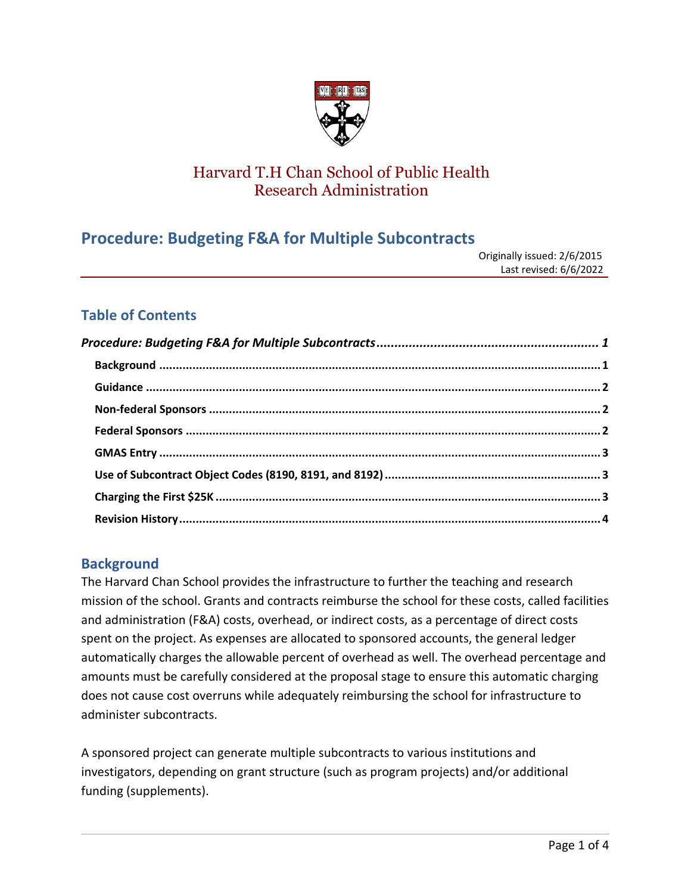

# Harvard T.H Chan School of Public Health Research Administration

# <span id="page-0-0"></span>**Procedure: Budgeting F&A for Multiple Subcontracts**

| Originally issued: 2/6/2015 |
|-----------------------------|
| Last revised: 6/6/2022      |

## **Table of Contents**

## <span id="page-0-1"></span>**Background**

The Harvard Chan School provides the infrastructure to further the teaching and research mission of the school. Grants and contracts reimburse the school for these costs, called facilities and administration (F&A) costs, overhead, or indirect costs, as a percentage of direct costs spent on the project. As expenses are allocated to sponsored accounts, the general ledger automatically charges the allowable percent of overhead as well. The overhead percentage and amounts must be carefully considered at the proposal stage to ensure this automatic charging does not cause cost overruns while adequately reimbursing the school for infrastructure to administer subcontracts.

A sponsored project can generate multiple subcontracts to various institutions and investigators, depending on grant structure (such as program projects) and/or additional funding (supplements).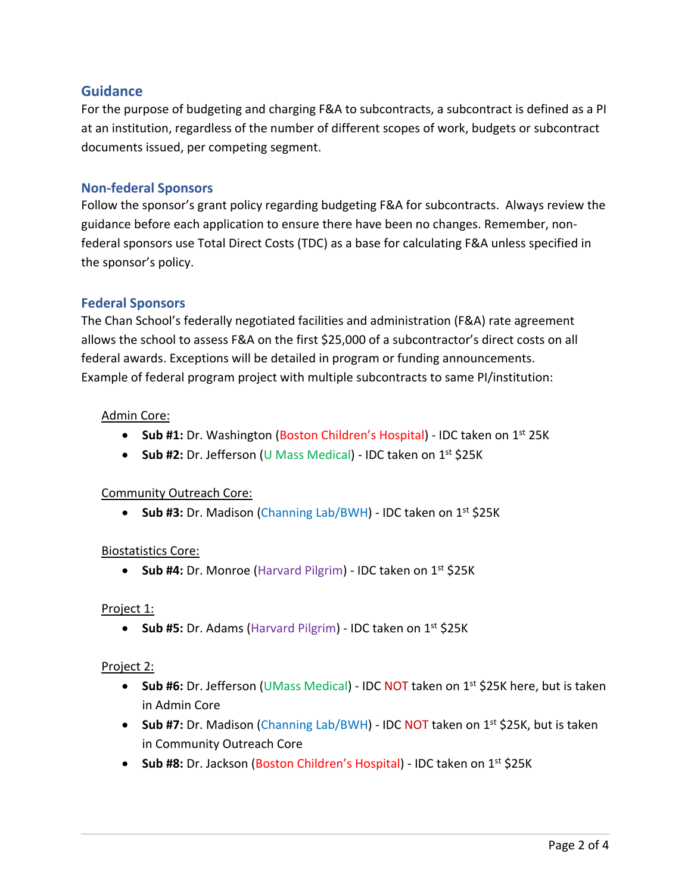### <span id="page-1-0"></span>**Guidance**

For the purpose of budgeting and charging F&A to subcontracts, a subcontract is defined as a PI at an institution, regardless of the number of different scopes of work, budgets or subcontract documents issued, per competing segment.

#### <span id="page-1-1"></span>**Non-federal Sponsors**

Follow the sponsor's grant policy regarding budgeting F&A for subcontracts. Always review the guidance before each application to ensure there have been no changes. Remember, nonfederal sponsors use Total Direct Costs (TDC) as a base for calculating F&A unless specified in the sponsor's policy.

#### <span id="page-1-2"></span>**Federal Sponsors**

The Chan School's federally negotiated facilities and administration (F&A) rate agreement allows the school to assess F&A on the first \$25,000 of a subcontractor's direct costs on all federal awards. Exceptions will be detailed in program or funding announcements. Example of federal program project with multiple subcontracts to same PI/institution:

#### Admin Core:

- **Sub #1:** Dr. Washington (Boston Children's Hospital) IDC taken on 1<sup>st</sup> 25K
- **Sub #2:** Dr. Jefferson (U Mass Medical) IDC taken on 1<sup>st</sup> \$25K

#### Community Outreach Core:

• **Sub #3:** Dr. Madison (Channing Lab/BWH) - IDC taken on 1<sup>st</sup> \$25K

#### Biostatistics Core:

• Sub #4: Dr. Monroe (Harvard Pilgrim) - IDC taken on 1<sup>st</sup> \$25K

#### Project 1:

• **Sub #5:** Dr. Adams (Harvard Pilgrim) - IDC taken on 1<sup>st</sup> \$25K

#### Project 2:

- **Sub #6:** Dr. Jefferson (UMass Medical) IDC NOT taken on 1<sup>st</sup> \$25K here, but is taken in Admin Core
- **Sub #7:** Dr. Madison (Channing Lab/BWH) IDC NOT taken on 1<sup>st</sup> \$25K, but is taken in Community Outreach Core
- **Sub #8:** Dr. Jackson (Boston Children's Hospital) IDC taken on 1<sup>st</sup> \$25K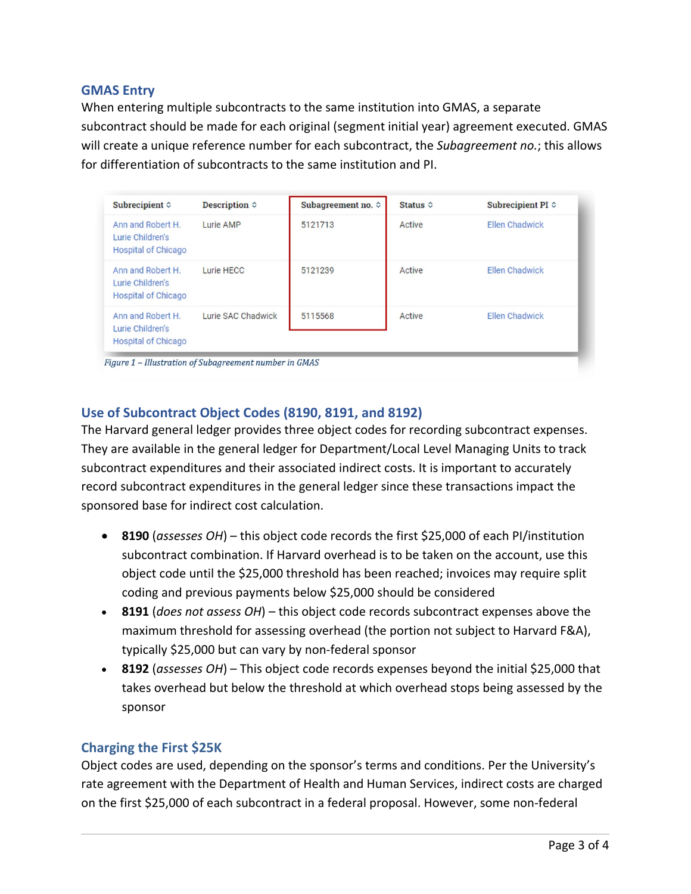#### <span id="page-2-0"></span>**GMAS Entry**

When entering multiple subcontracts to the same institution into GMAS, a separate subcontract should be made for each original (segment initial year) agreement executed. GMAS will create a unique reference number for each subcontract, the *Subagreement no.*; this allows for differentiation of subcontracts to the same institution and PI.

| Subrecipient $\diamond$                                             | Description $\diamond$ | Subagreement no. $\diamond$ | Status $\diamond$ | Subrecipient PI $\diamond$ |
|---------------------------------------------------------------------|------------------------|-----------------------------|-------------------|----------------------------|
| Ann and Robert H.<br>Lurie Children's<br><b>Hospital of Chicago</b> | Lurie AMP              | 5121713                     | Active            | <b>Ellen Chadwick</b>      |
| Ann and Robert H.<br>Lurie Children's<br><b>Hospital of Chicago</b> | Lurie HECC             | 5121239                     | Active            | <b>Ellen Chadwick</b>      |
| Ann and Robert H.<br>Lurie Children's<br><b>Hospital of Chicago</b> | Lurie SAC Chadwick     | 5115568                     | Active            | Ellen Chadwick             |

# <span id="page-2-1"></span>**Use of Subcontract Object Codes (8190, 8191, and 8192)**

The Harvard general ledger provides three object codes for recording subcontract expenses. They are available in the general ledger for Department/Local Level Managing Units to track subcontract expenditures and their associated indirect costs. It is important to accurately record subcontract expenditures in the general ledger since these transactions impact the sponsored base for indirect cost calculation.

- **8190** (*assesses OH*) this object code records the first \$25,000 of each PI/institution subcontract combination. If Harvard overhead is to be taken on the account, use this object code until the \$25,000 threshold has been reached; invoices may require split coding and previous payments below \$25,000 should be considered
- **8191** (*does not assess OH*) this object code records subcontract expenses above the maximum threshold for assessing overhead (the portion not subject to Harvard F&A), typically \$25,000 but can vary by non-federal sponsor
- **8192** (*assesses OH*) This object code records expenses beyond the initial \$25,000 that takes overhead but below the threshold at which overhead stops being assessed by the sponsor

#### <span id="page-2-2"></span>**Charging the First \$25K**

Object codes are used, depending on the sponsor's terms and conditions. Per the University's rate agreement with the Department of Health and Human Services, indirect costs are charged on the first \$25,000 of each subcontract in a federal proposal. However, some non-federal